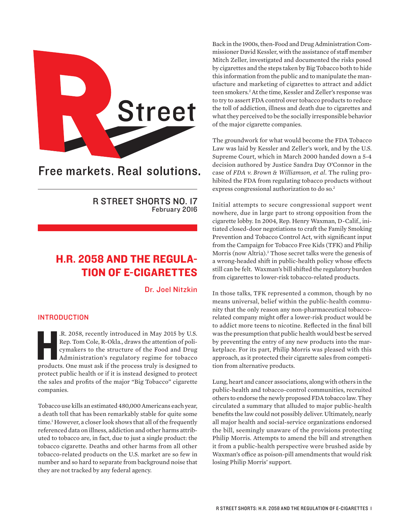

Free markets. Real solutions.

R STREET SHORTS NO. 17 February 2016

# H.R. 2058 AND THE REGULA-TION OF E-CIGARETTES

Dr. Joel Nitzkin

# INTRODUCTION

R. 2058, recently introduced in May 2015 by U.S.<br>Rep. Tom Cole, R-Okla., draws the attention of policy<br>makers to the structure of the Food and Drug<br>Administration's regulatory regime for tobacco<br>products. One must ask if t .R. 2058, recently introduced in May 2015 by U.S. Rep. Tom Cole, R-Okla., draws the attention of policymakers to the structure of the Food and Drug Administration's regulatory regime for tobacco protect public health or if it is instead designed to protect the sales and profits of the major "Big Tobacco" cigarette companies.

Tobacco use kills an estimated 480,000 Americans each year, a death toll that has been remarkably stable for quite some time.1 However, a closer look shows that all of the frequently referenced data on illness, addiction and other harms attributed to tobacco are, in fact, due to just a single product: the tobacco cigarette. Deaths and other harms from all other tobacco-related products on the U.S. market are so few in number and so hard to separate from background noise that they are not tracked by any federal agency.

Back in the 1900s, then-Food and Drug Administration Commissioner David Kessler, with the assistance of staff member Mitch Zeller, investigated and documented the risks posed by cigarettes and the steps taken by Big Tobacco both to hide this information from the public and to manipulate the manufacture and marketing of cigarettes to attract and addict teen smokers.2 At the time, Kessler and Zeller's response was to try to assert FDA control over tobacco products to reduce the toll of addiction, illness and death due to cigarettes and what they perceived to be the socially irresponsible behavior of the major cigarette companies.

The groundwork for what would become the FDA Tobacco Law was laid by Kessler and Zeller's work, and by the U.S. Supreme Court, which in March 2000 handed down a 5-4 decision authored by Justice Sandra Day O'Connor in the case of *FDA v. Brown & Williamson, et al*. The ruling prohibited the FDA from regulating tobacco products without express congressional authorization to do so.2

Initial attempts to secure congressional support went nowhere, due in large part to strong opposition from the cigarette lobby. In 2004, Rep. Henry Waxman, D-Calif., initiated closed-door negotiations to craft the Family Smoking Prevention and Tobacco Control Act, with significant input from the Campaign for Tobacco Free Kids (TFK) and Philip Morris (now Altria).3 Those secret talks were the genesis of a wrong-headed shift in public-health policy whose effects still can be felt. Waxman's bill shifted the regulatory burden from cigarettes to lower-risk tobacco-related products.

In those talks, TFK represented a common, though by no means universal, belief within the public-health community that the only reason any non-pharmaceutical tobaccorelated company might offer a lower-risk product would be to addict more teens to nicotine. Reflected in the final bill was the presumption that public health would best be served by preventing the entry of any new products into the marketplace. For its part, Philip Morris was pleased with this approach, as it protected their cigarette sales from competition from alternative products.

Lung, heart and cancer associations, along with others in the public-health and tobacco-control communities, recruited others to endorse the newly proposed FDA tobacco law. They circulated a summary that alluded to major public-health benefits the law could not possibly deliver. Ultimately, nearly all major health and social-service organizations endorsed the bill, seemingly unaware of the provisions protecting Philip Morris. Attempts to amend the bill and strengthen it from a public-health perspective were brushed aside by Waxman's office as poison-pill amendments that would risk losing Philip Morris' support.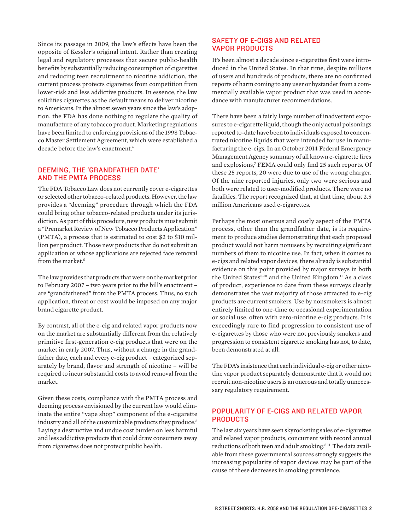Since its passage in 2009, the law's effects have been the opposite of Kessler's original intent. Rather than creating legal and regulatory processes that secure public-health benefits by substantially reducing consumption of cigarettes and reducing teen recruitment to nicotine addiction, the current process protects cigarettes from competition from lower-risk and less addictive products. In essence, the law solidifies cigarettes as the default means to deliver nicotine to Americans. In the almost seven years since the law's adoption, the FDA has done nothing to regulate the quality of manufacture of any tobacco product. Marketing regulations have been limited to enforcing provisions of the 1998 Tobacco Master Settlement Agreement, which were established a decade before the law's enactment.<sup>4</sup>

# DEEMING, THE 'GRANDFATHER DATE' AND THE PMTA PROCESS

The FDA Tobacco Law does not currently cover e-cigarettes or selected other tobacco-related products. However, the law provides a "deeming" procedure through which the FDA could bring other tobacco-related products under its jurisdiction. As part of this procedure, new products must submit a "Premarket Review of New Tobacco Products Application" (PMTA), a process that is estimated to cost \$2 to \$10 million per product. Those new products that do not submit an application or whose applications are rejected face removal from the market.<sup>5</sup>

The law provides that products that were on the market prior to February 2007 – two years prior to the bill's enactment – are "grandfathered" from the PMTA process. Thus, no such application, threat or cost would be imposed on any major brand cigarette product.

By contrast, all of the e-cig and related vapor products now on the market are substantially different from the relatively primitive first-generation e-cig products that were on the market in early 2007. Thus, without a change in the grandfather date, each and every e-cig product – categorized separately by brand, flavor and strength of nicotine – will be required to incur substantial costs to avoid removal from the market.

Given these costs, compliance with the PMTA process and deeming process envisioned by the current law would eliminate the entire "vape shop" component of the e-cigarette industry and all of the customizable products they produce.<sup>6</sup> Laying a destructive and undue cost burden on less harmful and less addictive products that could draw consumers away from cigarettes does not protect public health.

### SAFETY OF E-CIGS AND RELATED VAPOR PRODUCTS

It's been almost a decade since e-cigarettes first were introduced in the United States. In that time, despite millions of users and hundreds of products, there are no confirmed reports of harm coming to any user or bystander from a commercially available vapor product that was used in accordance with manufacturer recommendations.

There have been a fairly large number of inadvertent exposures to e-cigarette liquid, though the only actual poisonings reported to-date have been to individuals exposed to concentrated nicotine liquids that were intended for use in manufacturing the e-cigs. In an October 2014 Federal Emergency Management Agency summary of all known e-cigarette fires and explosions,<sup>7</sup> FEMA could only find 25 such reports. Of these 25 reports, 20 were due to use of the wrong charger. Of the nine reported injuries, only two were serious and both were related to user-modified products. There were no fatalities. The report recognized that, at that time, about 2.5 million Americans used e-cigarettes.

Perhaps the most onerous and costly aspect of the PMTA process, other than the grandfather date, is its requirement to produce studies demonstrating that each proposed product would not harm nonusers by recruiting significant numbers of them to nicotine use. In fact, when it comes to e-cigs and related vapor devices, there already is substantial evidence on this point provided by major surveys in both the United States<sup>8-10</sup> and the United Kingdom.<sup>11</sup> As a class of product, experience to date from these surveys clearly demonstrates the vast majority of those attracted to e-cig products are current smokers. Use by nonsmokers is almost entirely limited to one-time or occasional experimentation or social use, often with zero-nicotine e-cig products. It is exceedingly rare to find progression to consistent use of e-cigarettes by those who were not previously smokers and progression to consistent cigarette smoking has not, to date, been demonstrated at all.

The FDA's insistence that each individual e-cig or other nicotine vapor product separately demonstrate that it would not recruit non-nicotine users is an onerous and totally unnecessary regulatory requirement.

### POPULARITY OF E-CIGS AND RELATED VAPOR PRODUCTS

The last six years have seen skyrocketing sales of e-cigarettes and related vapor products, concurrent with record annual reductions of both teen and adult smoking.<sup>8-11</sup> The data available from these governmental sources strongly suggests the increasing popularity of vapor devices may be part of the cause of these decreases in smoking prevalence.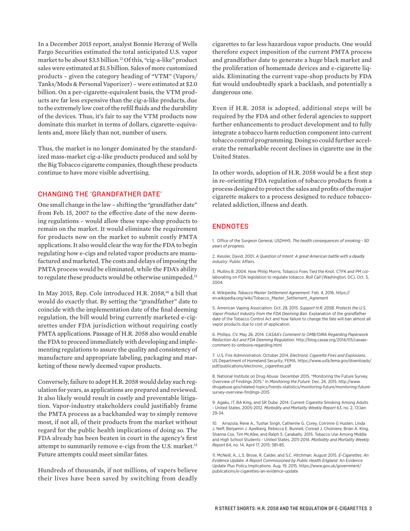In a December 2015 report, analyst Bonnie Herzog of Wells Fargo Securities estimated the total anticipated U.S. vapor market to be about \$3.5 billion.<sup>12</sup> Of this, "cig-a-like" product sales were estimated at \$1.5 billion. Sales of more customized products – given the category heading of "VTM" (Vapors/ Tanks/Mods & Personal Vaporizer) – were estimated at \$2.0 billion. On a per-cigarette-equivalent basis, the VTM products are far less expensive than the cig-a-like products, due to the extremely low cost of the refill fluids and the durability of the devices. Thus, it's fair to say the VTM products now dominate this market in terms of dollars, cigarette-equivalents and, more likely than not, number of users.

Thus, the market is no longer dominated by the standardized mass-market cig-a-like products produced and sold by the Big Tobacco cigarette companies, though these products continue to have more visible advertising.

#### CHANGING THE 'GRANDFATHER DATE'

One small change in the law – shifting the "grandfather date" from Feb. 15, 2007 to the effective date of the new deeming regulations – would allow these vape-shop products to remain on the market. It would eliminate the requirement for products now on the market to submit costly PMTA applications. It also would clear the way for the FDA to begin regulating how e-cigs and related vapor products are manufactured and marketed. The costs and delays of imposing the PMTA process would be eliminated, while the FDA's ability to regulate these products would be otherwise unimpeded.13

In May 2015, Rep. Cole introduced H.R. 2058,<sup>14</sup> a bill that would do exactly that. By setting the "grandfather" date to coincide with the implementation date of the final deeming regulation, the bill would bring currently marketed e-cigarettes under FDA jurisdiction without requiring costly PMTA applications. Passage of H.R. 2058 also would enable the FDA to proceed immediately with developing and implementing regulations to assure the quality and consistency of manufacture and appropriate labeling, packaging and marketing of these newly deemed vapor products.

Conversely, failure to adopt H.R. 2058 would delay such regulation for years, as applications are prepared and reviewed. It also likely would result in costly and preventable litigation. Vapor-industry stakeholders could justifiably frame the PMTA process as a backhanded way to simply remove most, if not all, of their products from the market without regard for the public health implications of doing so. The FDA already has been beaten in court in the agency's first attempt to summarily remove e-cigs from the U.S. market.15 Future attempts could meet similar fates.

Hundreds of thousands, if not millions, of vapers believe their lives have been saved by switching from deadly cigarettes to far less hazardous vapor products. One would therefore expect imposition of the current PMTA process and grandfather date to generate a huge black market and the proliferation of homemade devices and e-cigarette liquids. Eliminating the current vape-shop products by FDA fiat would undoubtedly spark a backlash, and potentially a dangerous one.

Even if H.R. 2058 is adopted, additional steps will be required by the FDA and other federal agencies to support further enhancements to product development and to fully integrate a tobacco harm reduction component into current tobacco control programming. Doing so could further accelerate the remarkable recent declines in cigarette use in the United States.

In other words, adoption of H.R. 2058 would be a first step in re-orienting FDA regulation of tobacco products from a process designed to protect the sales and profits of the major cigarette makers to a process designed to reduce tobaccorelated addiction, illness and death.

# ENDNOTES

1. Office of the Surgeon General, USDHHS. *The health consequences of smoking - 50 years of progress.*

2. Kessler, David. 2001. *A Question of Intent: A great American battle with a deadly industry*. Public Affairs.

3. Mullins B. 2004. How Philip Morris, Tobacco Foes Tied the Knot. CTFK and PM collaborating on FDA legislation to regulate tobacco. *Roll Call* (Washington, DC), Oct. 5, 2004.

4. Wikipedia. *Tobacco Master Settlement Agreement.* Feb. 4, 2016. https:// en.wikipedia.org/wiki/Tobacco\_Master\_Settlement\_Agrement

5. American Vaping Association. Oct. 28, 2015. *Support H.R. 2058. Protects the U.S. Vapor Product Industry from the FDA Deeming Ban*. Explanation of the grandfather date of the Tobacco Control Act and how failure to change the fate will ban almost all vapor products due to cost of application.

6. Phillips. CV. May 26, 2014. *CASAA's Comment to OMB/OIRA Regarding Paperwork Reduction Act and FDA Deeming Regulation*. http://blog.casaa.org/2014/05/casaascomment-to-omboira-regarding.html

7. U.S. Fire Administration. October 2014. *Electronic Cigarette Fires and Explosions*. US Department of Homeland Security; FEMA. https://www.usfa.fema.gov/downloads/ pdf/publications/electronic\_cigarettes.pdf

8. National Institute on Drug Abuse. December 2015. "Monitoring the Future Survey, Overview of Findings 2015." In *Monitoring the Future*. Dec. 24, 2015. http://www. drugabuse.gov/related-topics/trends-statistics/monitoring-future/monitoring-futuresurvey-overview-findings-2015

9. Agaku, IT, BA King, and SR Dube. 2014. Current Cigarette Smoking Among Adults - United States, 2005-2012. *Morbidity and Mortality Weekly Report* 63, no. 2, 17/Jan: 29-34.

10. Arrazola, Rene A., Tushar Singh, Catherine G. Corey, Corrinne G Husten, Linda J. Neff, Benjamin J. Apelberg, Rebecca E. Bunnell, Conrad J. Choiniere, Brian A. King, Shanna Cox, Tim McAfee, and Ralph S. Caraballo. 2015. Tobacco Use Among Middle and High School Students - United States, 2011-2014. *Morbidity and Mortality Weekly Report* 64, no. 14, April 17, 2015: 381-85.

11. McNeill, A., L.S. Brose, R. Calder, and S.C. Hitchman. August 2015. *E-Cigarettes: An Evidence Update. A Report Commissioned by Public Health England*. An Evidence Update Plus Policy Implications. Aug. 19, 2015. https://www.gov.uk/government/ publications/e-cigarettes-an-evidence-update